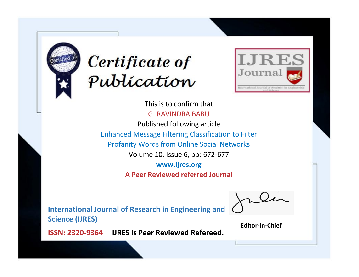



This is to confirm that G. RAVINDRA BABU Published following article Enhanced Message Filtering Classification to Filter Profanity Words from Online Social Networks Volume 10, Issue 6, pp: 672-677 **www.ijres.org A Peer Reviewed referred Journal**

**International Journal of Research in Engineering and Science (IJRES)**

\_\_\_\_\_\_\_\_\_\_\_\_\_\_\_\_\_\_\_\_\_\_\_\_ **Editor-In-Chief**

**Journal.**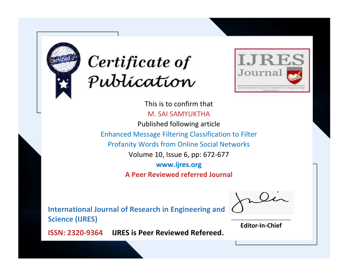



This is to confirm that M. SAI SAMYUKTHA Published following article Enhanced Message Filtering Classification to Filter Profanity Words from Online Social Networks Volume 10, Issue 6, pp: 672-677 **www.ijres.org A Peer Reviewed referred Journal**

**International Journal of Research in Engineering and Science (IJRES)**

\_\_\_\_\_\_\_\_\_\_\_\_\_\_\_\_\_\_\_\_\_\_\_\_ **Editor-In-Chief**

**Journal.**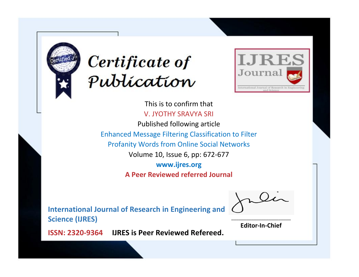



This is to confirm that V. JYOTHY SRAVYA SRI

Published following article Enhanced Message Filtering Classification to Filter Profanity Words from Online Social Networks Volume 10, Issue 6, pp: 672-677 **www.ijres.org**

**A Peer Reviewed referred Journal**

**International Journal of Research in Engineering and Science (IJRES)**

\_\_\_\_\_\_\_\_\_\_\_\_\_\_\_\_\_\_\_\_\_\_\_\_ **Editor-In-Chief**

**Journal.**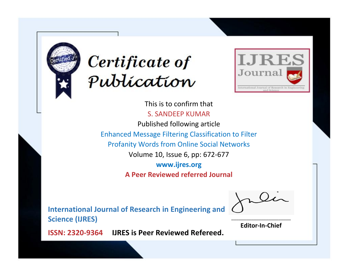



This is to confirm that S. SANDEEP KUMAR Published following article Enhanced Message Filtering Classification to Filter Profanity Words from Online Social Networks Volume 10, Issue 6, pp: 672-677 **www.ijres.org A Peer Reviewed referred Journal**

**International Journal of Research in Engineering and Science (IJRES)**

\_\_\_\_\_\_\_\_\_\_\_\_\_\_\_\_\_\_\_\_\_\_\_\_ **Editor-In-Chief**

**Journal.**